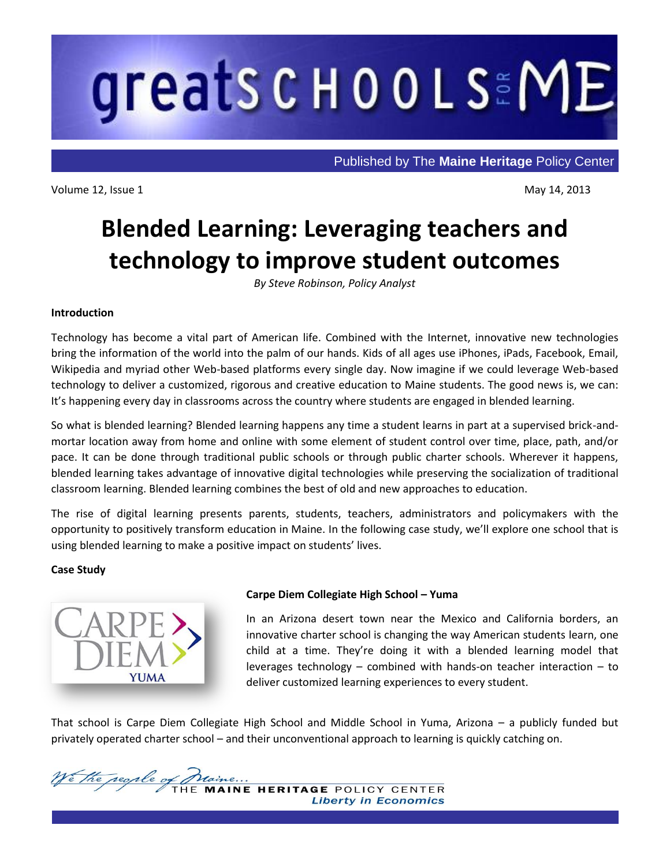# greats c H o o L SEME

Published by The **Maine Heritage** Policy Center

Volume 12, Issue 1 May 14, 2013

ī

# **Blended Learning: Leveraging teachers and technology to improve student outcomes**

*By Steve Robinson, Policy Analyst*

# **Introduction**

Technology has become a vital part of American life. Combined with the Internet, innovative new technologies bring the information of the world into the palm of our hands. Kids of all ages use iPhones, iPads, Facebook, Email, Wikipedia and myriad other Web-based platforms every single day. Now imagine if we could leverage Web-based technology to deliver a customized, rigorous and creative education to Maine students. The good news is, we can: It's happening every day in classrooms across the country where students are engaged in blended learning.

So what is blended learning? Blended learning happens any time a student learns in part at a supervised brick-andmortar location away from home and online with some element of student control over time, place, path, and/or pace. It can be done through traditional public schools or through public charter schools. Wherever it happens, blended learning takes advantage of innovative digital technologies while preserving the socialization of traditional classroom learning. Blended learning combines the best of old and new approaches to education.

The rise of digital learning presents parents, students, teachers, administrators and policymakers with the opportunity to positively transform education in Maine. In the following case study, we'll explore one school that is using blended learning to make a positive impact on students' lives.

## **Case Study**



# **Carpe Diem Collegiate High School – Yuma**

In an Arizona desert town near the Mexico and California borders, an innovative charter school is changing the way American students learn, one child at a time. They're doing it with a blended learning model that leverages technology – combined with hands-on teacher interaction – to deliver customized learning experiences to every student.

That school is Carpe Diem Collegiate High School and Middle School in Yuma, Arizona – a publicly funded but privately operated charter school – and their unconventional approach to learning is quickly catching on.

Ve the people of **RITAGE POLICY CENTER Liberty in Economics**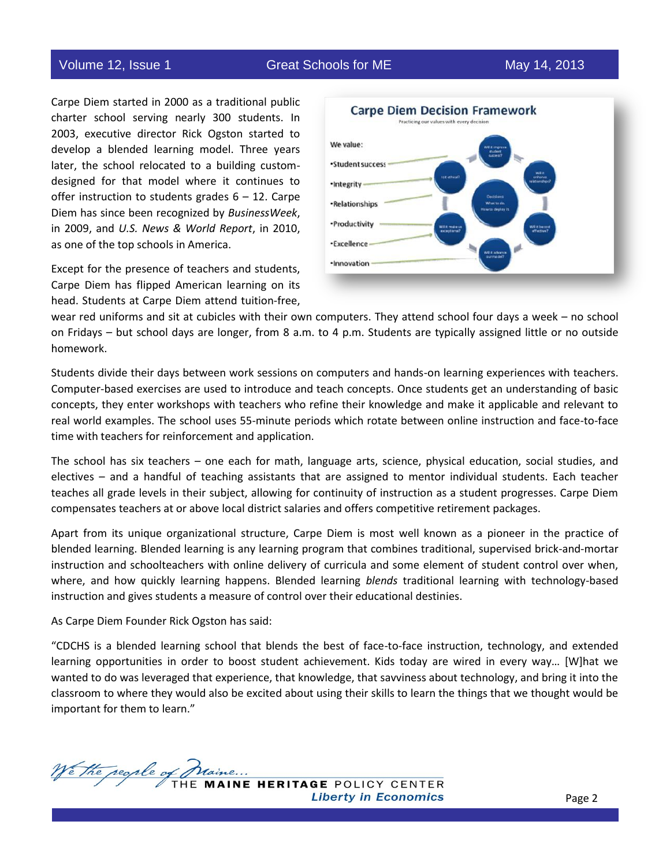Volume 12, Issue 1 Great Schools for ME May 14, 2013

Carpe Diem started in 2000 as a traditional public charter school serving nearly 300 students. In 2003, executive director Rick Ogston started to develop a blended learning model. Three years later, the school relocated to a building customdesigned for that model where it continues to offer instruction to students grades  $6 - 12$ . Carpe Diem has since been recognized by *BusinessWeek*, in 2009, and *U.S. News & World Report*, in 2010, as one of the top schools in America.

Except for the presence of teachers and students, Carpe Diem has flipped American learning on its head. Students at Carpe Diem attend tuition-free,



wear red uniforms and sit at cubicles with their own computers. They attend school four days a week – no school on Fridays – but school days are longer, from 8 a.m. to 4 p.m. Students are typically assigned little or no outside homework.

Students divide their days between work sessions on computers and hands-on learning experiences with teachers. Computer-based exercises are used to introduce and teach concepts. Once students get an understanding of basic concepts, they enter workshops with teachers who refine their knowledge and make it applicable and relevant to real world examples. The school uses 55-minute periods which rotate between online instruction and face-to-face time with teachers for reinforcement and application.

The school has six teachers – one each for math, language arts, science, physical education, social studies, and electives – and a handful of teaching assistants that are assigned to mentor individual students. Each teacher teaches all grade levels in their subject, allowing for continuity of instruction as a student progresses. Carpe Diem compensates teachers at or above local district salaries and offers competitive retirement packages.

Apart from its unique organizational structure, Carpe Diem is most well known as a pioneer in the practice of blended learning. Blended learning is any learning program that combines traditional, supervised brick-and-mortar instruction and schoolteachers with online delivery of curricula and some element of student control over when, where, and how quickly learning happens. Blended learning *blends* traditional learning with technology-based instruction and gives students a measure of control over their educational destinies.

As Carpe Diem Founder Rick Ogston has said:

"CDCHS is a blended learning school that blends the best of face-to-face instruction, technology, and extended learning opportunities in order to boost student achievement. Kids today are wired in every way… [W]hat we wanted to do was leveraged that experience, that knowledge, that savviness about technology, and bring it into the classroom to where they would also be excited about using their skills to learn the things that we thought would be important for them to learn."

We the regile of INE HERITAGE POLICY CENTER **Liberty in Economics**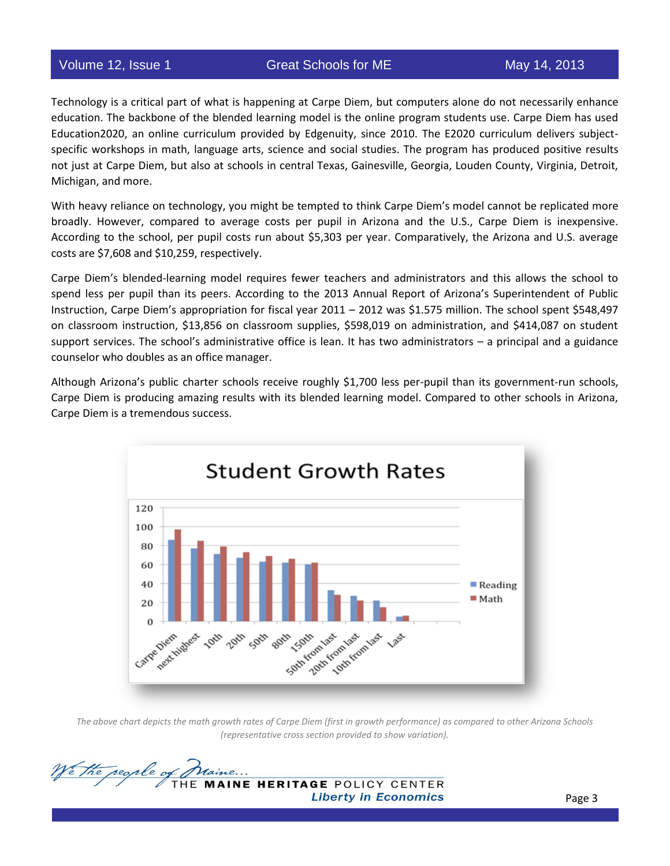Technology is a critical part of what is happening at Carpe Diem, but computers alone do not necessarily enhance education. The backbone of the blended learning model is the online program students use. Carpe Diem has used Education2020, an online curriculum provided by Edgenuity, since 2010. The E2020 curriculum delivers subjectspecific workshops in math, language arts, science and social studies. The program has produced positive results not just at Carpe Diem, but also at schools in central Texas, Gainesville, Georgia, Louden County, Virginia, Detroit, Michigan, and more.

With heavy reliance on technology, you might be tempted to think Carpe Diem's model cannot be replicated more broadly. However, compared to average costs per pupil in Arizona and the U.S., Carpe Diem is inexpensive. According to the school, per pupil costs run about \$5,303 per year. Comparatively, the Arizona and U.S. average costs are \$7,608 and \$10,259, respectively.

Carpe Diem's blended-learning model requires fewer teachers and administrators and this allows the school to spend less per pupil than its peers. According to the 2013 Annual Report of Arizona's Superintendent of Public Instruction, Carpe Diem's appropriation for fiscal year 2011 – 2012 was \$1.575 million. The school spent \$548,497 on classroom instruction, \$13,856 on classroom supplies, \$598,019 on administration, and \$414,087 on student support services. The school's administrative office is lean. It has two administrators – a principal and a guidance counselor who doubles as an office manager.

Although Arizona's public charter schools receive roughly \$1,700 less per-pupil than its government-run schools, Carpe Diem is producing amazing results with its blended learning model. Compared to other schools in Arizona, Carpe Diem is a tremendous success.



*The above chart depicts the math growth rates of Carpe Diem (first in growth performance) as compared to other Arizona Schools (representative cross section provided to show variation).*

We the regile of INE HERITAGE POLICY CENTER **Liberty in Economics**